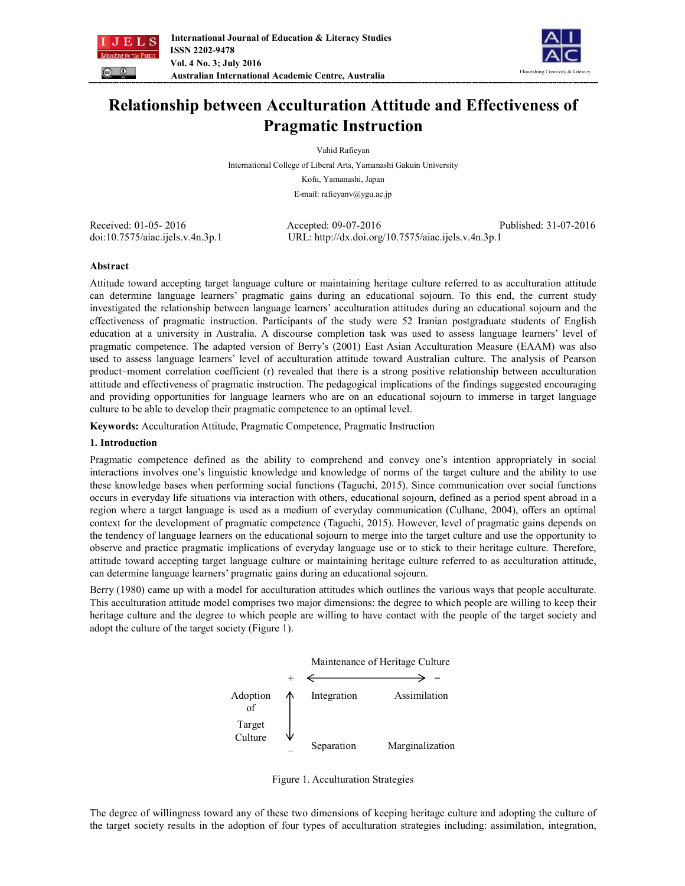



# **Relationship between Acculturation Attitude and Effectiveness of Pragmatic Instruction**

Vahid Rafieyan

International College of Liberal Arts, Yamanashi Gakuin University

Kofu, Yamanashi, Japan

E-mail: rafieyanv@ygu.ac.jp

Received: 01-05- 2016 Accepted: 09-07-2016 Published: 31-07-2016 doi:10.7575/aiac.ijels.v.4n.3p.1 URL: http://dx.doi.org/10.7575/aiac.ijels.v.4n.3p.1

## **Abstract**

Attitude toward accepting target language culture or maintaining heritage culture referred to as acculturation attitude can determine language learners' pragmatic gains during an educational sojourn. To this end, the current study investigated the relationship between language learners' acculturation attitudes during an educational sojourn and the effectiveness of pragmatic instruction. Participants of the study were 52 Iranian postgraduate students of English education at a university in Australia. A discourse completion task was used to assess language learners' level of pragmatic competence. The adapted version of Berry's (2001) East Asian Acculturation Measure (EAAM) was also used to assess language learners' level of acculturation attitude toward Australian culture. The analysis of Pearson product–moment correlation coefficient (r) revealed that there is a strong positive relationship between acculturation attitude and effectiveness of pragmatic instruction. The pedagogical implications of the findings suggested encouraging and providing opportunities for language learners who are on an educational sojourn to immerse in target language culture to be able to develop their pragmatic competence to an optimal level.

**Keywords:** Acculturation Attitude, Pragmatic Competence, Pragmatic Instruction

## **1. Introduction**

Pragmatic competence defined as the ability to comprehend and convey one's intention appropriately in social interactions involves one's linguistic knowledge and knowledge of norms of the target culture and the ability to use these knowledge bases when performing social functions (Taguchi, 2015). Since communication over social functions occurs in everyday life situations via interaction with others, educational sojourn, defined as a period spent abroad in a region where a target language is used as a medium of everyday communication (Culhane, 2004), offers an optimal context for the development of pragmatic competence (Taguchi, 2015). However, level of pragmatic gains depends on the tendency of language learners on the educational sojourn to merge into the target culture and use the opportunity to observe and practice pragmatic implications of everyday language use or to stick to their heritage culture. Therefore, attitude toward accepting target language culture or maintaining heritage culture referred to as acculturation attitude, can determine language learners' pragmatic gains during an educational sojourn.

Berry (1980) came up with a model for acculturation attitudes which outlines the various ways that people acculturate. This acculturation attitude model comprises two major dimensions: the degree to which people are willing to keep their heritage culture and the degree to which people are willing to have contact with the people of the target society and adopt the culture of the target society (Figure 1).



Figure 1. Acculturation Strategies

The degree of willingness toward any of these two dimensions of keeping heritage culture and adopting the culture of the target society results in the adoption of four types of acculturation strategies including: assimilation, integration,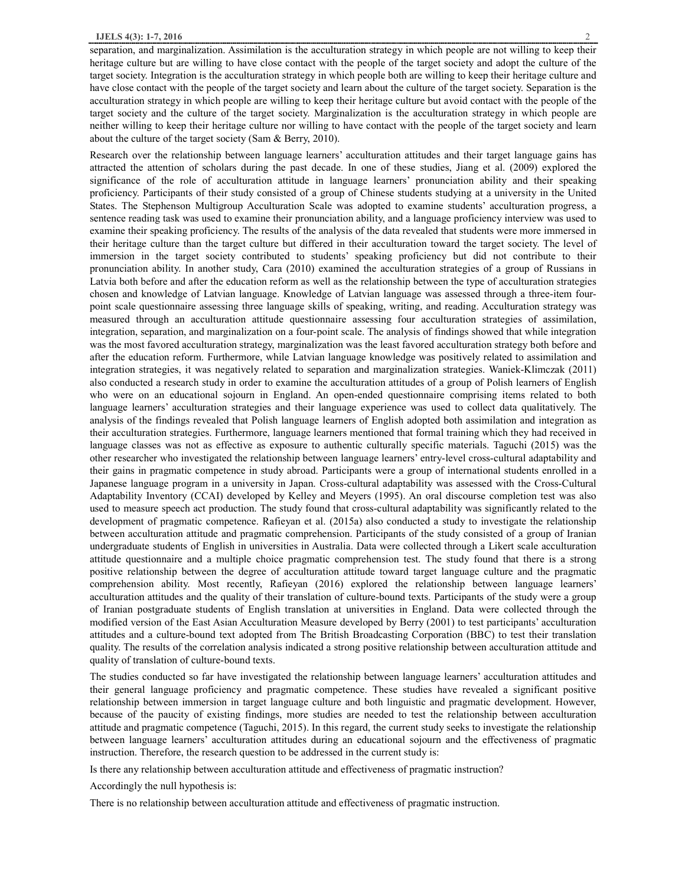separation, and marginalization. Assimilation is the acculturation strategy in which people are not willing to keep their heritage culture but are willing to have close contact with the people of the target society and adopt the culture of the target society. Integration is the acculturation strategy in which people both are willing to keep their heritage culture and have close contact with the people of the target society and learn about the culture of the target society. Separation is the acculturation strategy in which people are willing to keep their heritage culture but avoid contact with the people of the target society and the culture of the target society. Marginalization is the acculturation strategy in which people are neither willing to keep their heritage culture nor willing to have contact with the people of the target society and learn about the culture of the target society (Sam & Berry, 2010).

Research over the relationship between language learners' acculturation attitudes and their target language gains has attracted the attention of scholars during the past decade. In one of these studies, Jiang et al. (2009) explored the significance of the role of acculturation attitude in language learners' pronunciation ability and their speaking proficiency. Participants of their study consisted of a group of Chinese students studying at a university in the United States. The Stephenson Multigroup Acculturation Scale was adopted to examine students' acculturation progress, a sentence reading task was used to examine their pronunciation ability, and a language proficiency interview was used to examine their speaking proficiency. The results of the analysis of the data revealed that students were more immersed in their heritage culture than the target culture but differed in their acculturation toward the target society. The level of immersion in the target society contributed to students' speaking proficiency but did not contribute to their pronunciation ability. In another study, Cara (2010) examined the acculturation strategies of a group of Russians in Latvia both before and after the education reform as well as the relationship between the type of acculturation strategies chosen and knowledge of Latvian language. Knowledge of Latvian language was assessed through a three-item fourpoint scale questionnaire assessing three language skills of speaking, writing, and reading. Acculturation strategy was measured through an acculturation attitude questionnaire assessing four acculturation strategies of assimilation, integration, separation, and marginalization on a four-point scale. The analysis of findings showed that while integration was the most favored acculturation strategy, marginalization was the least favored acculturation strategy both before and after the education reform. Furthermore, while Latvian language knowledge was positively related to assimilation and integration strategies, it was negatively related to separation and marginalization strategies. Waniek-Klimczak (2011) also conducted a research study in order to examine the acculturation attitudes of a group of Polish learners of English who were on an educational sojourn in England. An open-ended questionnaire comprising items related to both language learners' acculturation strategies and their language experience was used to collect data qualitatively. The analysis of the findings revealed that Polish language learners of English adopted both assimilation and integration as their acculturation strategies. Furthermore, language learners mentioned that formal training which they had received in language classes was not as effective as exposure to authentic culturally specific materials. Taguchi (2015) was the other researcher who investigated the relationship between language learners' entry-level cross-cultural adaptability and their gains in pragmatic competence in study abroad. Participants were a group of international students enrolled in a Japanese language program in a university in Japan. Cross-cultural adaptability was assessed with the Cross-Cultural Adaptability Inventory (CCAI) developed by Kelley and Meyers (1995). An oral discourse completion test was also used to measure speech act production. The study found that cross-cultural adaptability was significantly related to the development of pragmatic competence. Rafieyan et al. (2015a) also conducted a study to investigate the relationship between acculturation attitude and pragmatic comprehension. Participants of the study consisted of a group of Iranian undergraduate students of English in universities in Australia. Data were collected through a Likert scale acculturation attitude questionnaire and a multiple choice pragmatic comprehension test. The study found that there is a strong positive relationship between the degree of acculturation attitude toward target language culture and the pragmatic comprehension ability. Most recently, Rafieyan (2016) explored the relationship between language learners' acculturation attitudes and the quality of their translation of culture-bound texts. Participants of the study were a group of Iranian postgraduate students of English translation at universities in England. Data were collected through the modified version of the East Asian Acculturation Measure developed by Berry (2001) to test participants' acculturation attitudes and a culture-bound text adopted from The British Broadcasting Corporation (BBC) to test their translation quality. The results of the correlation analysis indicated a strong positive relationship between acculturation attitude and quality of translation of culture-bound texts.

The studies conducted so far have investigated the relationship between language learners' acculturation attitudes and their general language proficiency and pragmatic competence. These studies have revealed a significant positive relationship between immersion in target language culture and both linguistic and pragmatic development. However, because of the paucity of existing findings, more studies are needed to test the relationship between acculturation attitude and pragmatic competence (Taguchi, 2015). In this regard, the current study seeks to investigate the relationship between language learners' acculturation attitudes during an educational sojourn and the effectiveness of pragmatic instruction. Therefore, the research question to be addressed in the current study is:

Is there any relationship between acculturation attitude and effectiveness of pragmatic instruction?

Accordingly the null hypothesis is:

There is no relationship between acculturation attitude and effectiveness of pragmatic instruction.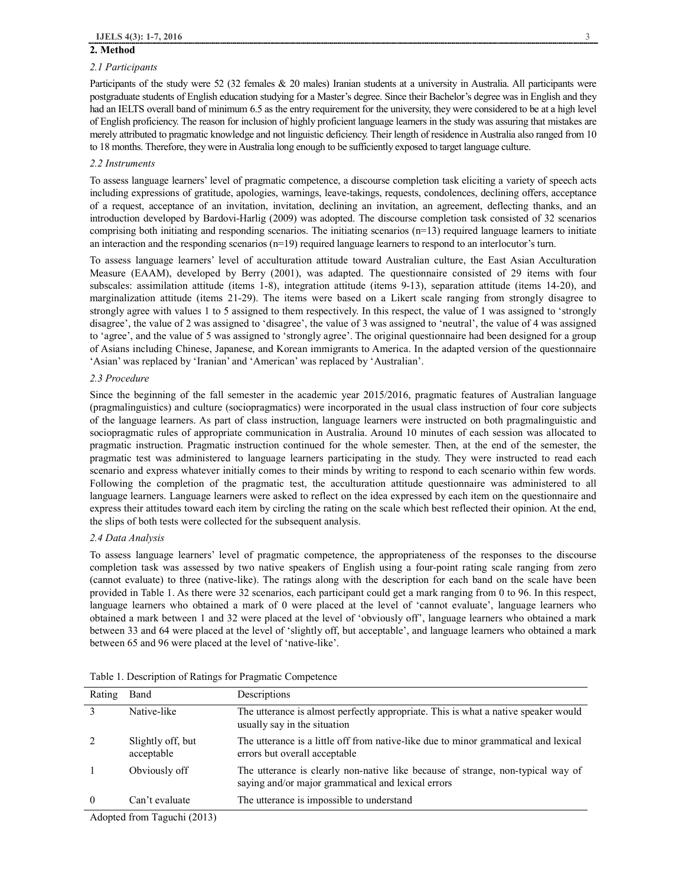### **2. Method**

#### *2.1 Participants*

Participants of the study were 52 (32 females & 20 males) Iranian students at a university in Australia. All participants were postgraduate students of English education studying for a Master's degree. Since their Bachelor's degree was in English and they had an IELTS overall band of minimum 6.5 as the entry requirement for the university, they were considered to be at a high level of English proficiency. The reason for inclusion of highly proficient language learners in the study was assuring that mistakes are merely attributed to pragmatic knowledge and not linguistic deficiency. Their length of residence in Australia also ranged from 10 to 18 months. Therefore, they were in Australia long enough to be sufficiently exposed to target language culture.

#### *2.2 Instruments*

To assess language learners' level of pragmatic competence, a discourse completion task eliciting a variety of speech acts including expressions of gratitude, apologies, warnings, leave-takings, requests, condolences, declining offers, acceptance of a request, acceptance of an invitation, invitation, declining an invitation, an agreement, deflecting thanks, and an introduction developed by Bardovi-Harlig (2009) was adopted. The discourse completion task consisted of 32 scenarios comprising both initiating and responding scenarios. The initiating scenarios  $(n=13)$  required language learners to initiate an interaction and the responding scenarios  $(n=19)$  required language learners to respond to an interlocutor's turn.

To assess language learners' level of acculturation attitude toward Australian culture, the East Asian Acculturation Measure (EAAM), developed by Berry (2001), was adapted. The questionnaire consisted of 29 items with four subscales: assimilation attitude (items 1-8), integration attitude (items 9-13), separation attitude (items 14-20), and marginalization attitude (items 21-29). The items were based on a Likert scale ranging from strongly disagree to strongly agree with values 1 to 5 assigned to them respectively. In this respect, the value of 1 was assigned to 'strongly disagree', the value of 2 was assigned to 'disagree', the value of 3 was assigned to 'neutral', the value of 4 was assigned to 'agree', and the value of 5 was assigned to 'strongly agree'. The original questionnaire had been designed for a group of Asians including Chinese, Japanese, and Korean immigrants to America. In the adapted version of the questionnaire 'Asian' was replaced by 'Iranian' and 'American' was replaced by 'Australian'.

#### *2.3 Procedure*

Since the beginning of the fall semester in the academic year 2015/2016, pragmatic features of Australian language (pragmalinguistics) and culture (sociopragmatics) were incorporated in the usual class instruction of four core subjects of the language learners. As part of class instruction, language learners were instructed on both pragmalinguistic and sociopragmatic rules of appropriate communication in Australia. Around 10 minutes of each session was allocated to pragmatic instruction. Pragmatic instruction continued for the whole semester. Then, at the end of the semester, the pragmatic test was administered to language learners participating in the study. They were instructed to read each scenario and express whatever initially comes to their minds by writing to respond to each scenario within few words. Following the completion of the pragmatic test, the acculturation attitude questionnaire was administered to all language learners. Language learners were asked to reflect on the idea expressed by each item on the questionnaire and express their attitudes toward each item by circling the rating on the scale which best reflected their opinion. At the end, the slips of both tests were collected for the subsequent analysis.

#### *2.4 Data Analysis*

To assess language learners' level of pragmatic competence, the appropriateness of the responses to the discourse completion task was assessed by two native speakers of English using a four-point rating scale ranging from zero (cannot evaluate) to three (native-like). The ratings along with the description for each band on the scale have been provided in Table 1. As there were 32 scenarios, each participant could get a mark ranging from 0 to 96. In this respect, language learners who obtained a mark of 0 were placed at the level of 'cannot evaluate', language learners who obtained a mark between 1 and 32 were placed at the level of 'obviously off', language learners who obtained a mark between 33 and 64 were placed at the level of 'slightly off, but acceptable', and language learners who obtained a mark between 65 and 96 were placed at the level of 'native-like'.

| Rating   | Band                            | Descriptions                                                                                                                          |
|----------|---------------------------------|---------------------------------------------------------------------------------------------------------------------------------------|
|          | Native-like                     | The utterance is almost perfectly appropriate. This is what a native speaker would<br>usually say in the situation                    |
|          | Slightly off, but<br>acceptable | The utterance is a little off from native-like due to minor grammatical and lexical<br>errors but overall acceptable                  |
|          | Obviously off                   | The utterance is clearly non-native like because of strange, non-typical way of<br>saying and/or major grammatical and lexical errors |
| $\Omega$ | Can't evaluate                  | The utterance is impossible to understand                                                                                             |

Table 1. Description of Ratings for Pragmatic Competence

Adopted from Taguchi (2013)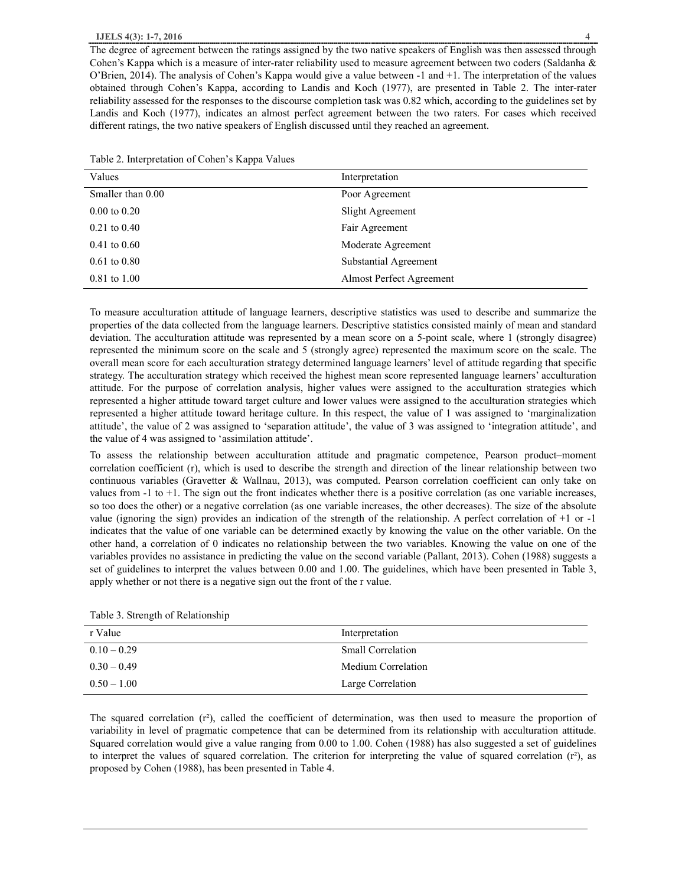#### **IJELS 4(3): 1-7, 2016** 4

| Values                  | Interpretation           |
|-------------------------|--------------------------|
| Smaller than 0.00       | Poor Agreement           |
| $0.00 \text{ to } 0.20$ | Slight Agreement         |
| $0.21$ to $0.40$        | Fair Agreement           |
| $0.41 \text{ to } 0.60$ | Moderate Agreement       |
| $0.61 \text{ to } 0.80$ | Substantial Agreement    |
| $0.81$ to $1.00$        | Almost Perfect Agreement |

To measure acculturation attitude of language learners, descriptive statistics was used to describe and summarize the properties of the data collected from the language learners. Descriptive statistics consisted mainly of mean and standard deviation. The acculturation attitude was represented by a mean score on a 5-point scale, where 1 (strongly disagree) represented the minimum score on the scale and 5 (strongly agree) represented the maximum score on the scale. The overall mean score for each acculturation strategy determined language learners' level of attitude regarding that specific strategy. The acculturation strategy which received the highest mean score represented language learners' acculturation attitude. For the purpose of correlation analysis, higher values were assigned to the acculturation strategies which represented a higher attitude toward target culture and lower values were assigned to the acculturation strategies which represented a higher attitude toward heritage culture. In this respect, the value of 1 was assigned to 'marginalization attitude', the value of 2 was assigned to 'separation attitude', the value of 3 was assigned to 'integration attitude', and the value of 4 was assigned to 'assimilation attitude'.

To assess the relationship between acculturation attitude and pragmatic competence, Pearson product–moment correlation coefficient (r), which is used to describe the strength and direction of the linear relationship between two continuous variables (Gravetter & Wallnau, 2013), was computed. Pearson correlation coefficient can only take on values from -1 to +1. The sign out the front indicates whether there is a positive correlation (as one variable increases, so too does the other) or a negative correlation (as one variable increases, the other decreases). The size of the absolute value (ignoring the sign) provides an indication of the strength of the relationship. A perfect correlation of +1 or -1 indicates that the value of one variable can be determined exactly by knowing the value on the other variable. On the other hand, a correlation of 0 indicates no relationship between the two variables. Knowing the value on one of the variables provides no assistance in predicting the value on the second variable (Pallant, 2013). Cohen (1988) suggests a set of guidelines to interpret the values between 0.00 and 1.00. The guidelines, which have been presented in Table 3, apply whether or not there is a negative sign out the front of the r value.

| r Value       | Interpretation           |
|---------------|--------------------------|
| $0.10 - 0.29$ | <b>Small Correlation</b> |
| $0.30 - 0.49$ | Medium Correlation       |
| $0.50 - 1.00$ | Large Correlation        |

Table 3. Strength of Relationship

The squared correlation (r²), called the coefficient of determination, was then used to measure the proportion of variability in level of pragmatic competence that can be determined from its relationship with acculturation attitude. Squared correlation would give a value ranging from 0.00 to 1.00. Cohen (1988) has also suggested a set of guidelines to interpret the values of squared correlation. The criterion for interpreting the value of squared correlation (r²), as proposed by Cohen (1988), has been presented in Table 4.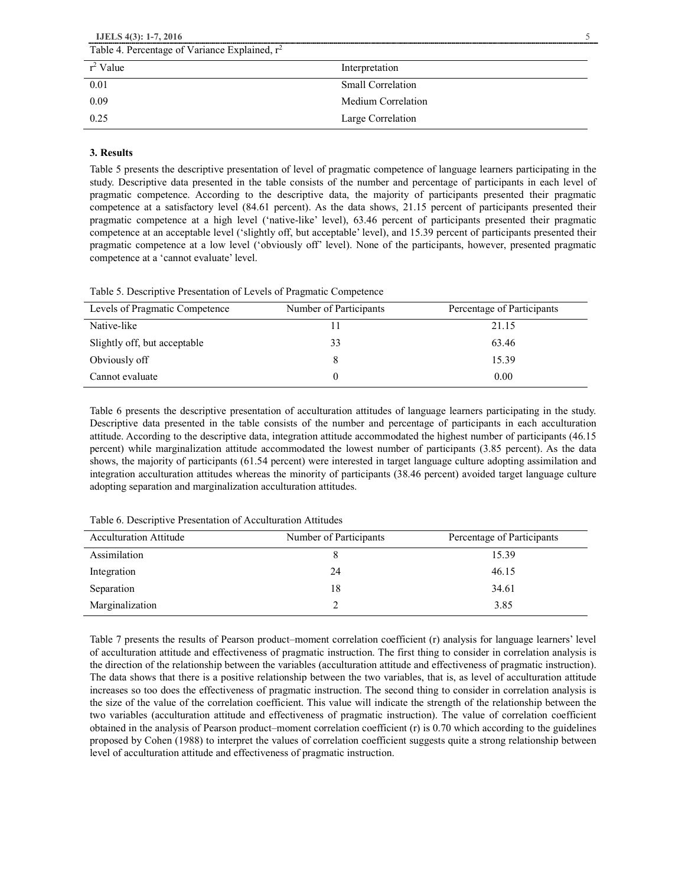| IJELS $4(3)$ : 1-7, 2016                         |                          |
|--------------------------------------------------|--------------------------|
| Table 4. Percentage of Variance Explained, $r^2$ |                          |
| $r^2$ Value                                      | Interpretation           |
| 0.01                                             | <b>Small Correlation</b> |
| 0.09                                             | Medium Correlation       |
| 0.25                                             | Large Correlation        |

## **3. Results**

Table 5 presents the descriptive presentation of level of pragmatic competence of language learners participating in the study. Descriptive data presented in the table consists of the number and percentage of participants in each level of pragmatic competence. According to the descriptive data, the majority of participants presented their pragmatic competence at a satisfactory level (84.61 percent). As the data shows, 21.15 percent of participants presented their pragmatic competence at a high level ('native-like' level), 63.46 percent of participants presented their pragmatic competence at an acceptable level ('slightly off, but acceptable' level), and 15.39 percent of participants presented their pragmatic competence at a low level ('obviously off' level). None of the participants, however, presented pragmatic competence at a 'cannot evaluate' level.

Table 5. Descriptive Presentation of Levels of Pragmatic Competence

| Levels of Pragmatic Competence | Number of Participants | Percentage of Participants |
|--------------------------------|------------------------|----------------------------|
| Native-like                    |                        | 21.15                      |
| Slightly off, but acceptable   | 33                     | 63.46                      |
| Obviously off                  |                        | 15.39                      |
| Cannot evaluate                |                        | 0.00                       |

Table 6 presents the descriptive presentation of acculturation attitudes of language learners participating in the study. Descriptive data presented in the table consists of the number and percentage of participants in each acculturation attitude. According to the descriptive data, integration attitude accommodated the highest number of participants (46.15 percent) while marginalization attitude accommodated the lowest number of participants (3.85 percent). As the data shows, the majority of participants (61.54 percent) were interested in target language culture adopting assimilation and integration acculturation attitudes whereas the minority of participants (38.46 percent) avoided target language culture adopting separation and marginalization acculturation attitudes.

| <b>Acculturation Attitude</b> | Number of Participants | Percentage of Participants |
|-------------------------------|------------------------|----------------------------|
| Assimilation                  |                        | 15.39                      |
| Integration                   | 24                     | 46.15                      |
| Separation                    | 18                     | 34.61                      |
| Marginalization               |                        | 3.85                       |

Table 6. Descriptive Presentation of Acculturation Attitudes

Table 7 presents the results of Pearson product–moment correlation coefficient (r) analysis for language learners' level of acculturation attitude and effectiveness of pragmatic instruction. The first thing to consider in correlation analysis is the direction of the relationship between the variables (acculturation attitude and effectiveness of pragmatic instruction). The data shows that there is a positive relationship between the two variables, that is, as level of acculturation attitude increases so too does the effectiveness of pragmatic instruction. The second thing to consider in correlation analysis is the size of the value of the correlation coefficient. This value will indicate the strength of the relationship between the two variables (acculturation attitude and effectiveness of pragmatic instruction). The value of correlation coefficient obtained in the analysis of Pearson product–moment correlation coefficient (r) is 0.70 which according to the guidelines proposed by Cohen (1988) to interpret the values of correlation coefficient suggests quite a strong relationship between level of acculturation attitude and effectiveness of pragmatic instruction.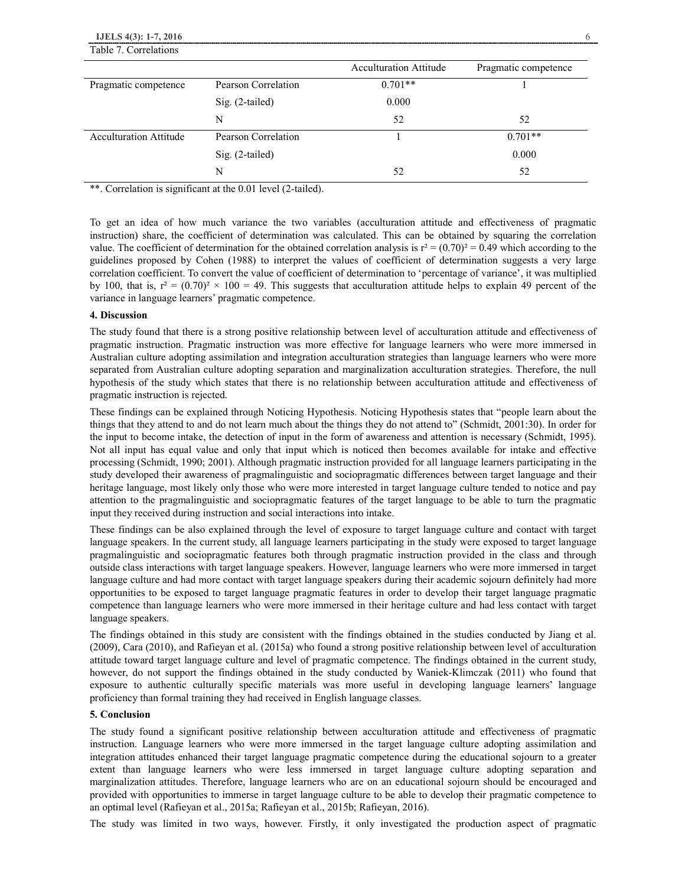|                               |                     | <b>Acculturation Attitude</b> | Pragmatic competence |  |
|-------------------------------|---------------------|-------------------------------|----------------------|--|
| Pragmatic competence          | Pearson Correlation | $0.701**$                     |                      |  |
|                               | Sig. (2-tailed)     | 0.000                         |                      |  |
|                               | N                   | 52                            | 52                   |  |
| <b>Acculturation Attitude</b> | Pearson Correlation |                               | $0.701**$            |  |
|                               | Sig. (2-tailed)     |                               | 0.000                |  |
|                               | N                   | 52                            | 52                   |  |

\*\*. Correlation is significant at the 0.01 level (2-tailed).

To get an idea of how much variance the two variables (acculturation attitude and effectiveness of pragmatic instruction) share, the coefficient of determination was calculated. This can be obtained by squaring the correlation value. The coefficient of determination for the obtained correlation analysis is  $r^2 = (0.70)^2 = 0.49$  which according to the guidelines proposed by Cohen (1988) to interpret the values of coefficient of determination suggests a very large correlation coefficient. To convert the value of coefficient of determination to 'percentage of variance', it was multiplied by 100, that is,  $r^2 = (0.70)^2 \times 100 = 49$ . This suggests that acculturation attitude helps to explain 49 percent of the variance in language learners' pragmatic competence.

#### **4. Discussion**

The study found that there is a strong positive relationship between level of acculturation attitude and effectiveness of pragmatic instruction. Pragmatic instruction was more effective for language learners who were more immersed in Australian culture adopting assimilation and integration acculturation strategies than language learners who were more separated from Australian culture adopting separation and marginalization acculturation strategies. Therefore, the null hypothesis of the study which states that there is no relationship between acculturation attitude and effectiveness of pragmatic instruction is rejected.

These findings can be explained through Noticing Hypothesis. Noticing Hypothesis states that "people learn about the things that they attend to and do not learn much about the things they do not attend to" (Schmidt, 2001:30). In order for the input to become intake, the detection of input in the form of awareness and attention is necessary (Schmidt, 1995). Not all input has equal value and only that input which is noticed then becomes available for intake and effective processing (Schmidt, 1990; 2001). Although pragmatic instruction provided for all language learners participating in the study developed their awareness of pragmalinguistic and sociopragmatic differences between target language and their heritage language, most likely only those who were more interested in target language culture tended to notice and pay attention to the pragmalinguistic and sociopragmatic features of the target language to be able to turn the pragmatic input they received during instruction and social interactions into intake.

These findings can be also explained through the level of exposure to target language culture and contact with target language speakers. In the current study, all language learners participating in the study were exposed to target language pragmalinguistic and sociopragmatic features both through pragmatic instruction provided in the class and through outside class interactions with target language speakers. However, language learners who were more immersed in target language culture and had more contact with target language speakers during their academic sojourn definitely had more opportunities to be exposed to target language pragmatic features in order to develop their target language pragmatic competence than language learners who were more immersed in their heritage culture and had less contact with target language speakers.

The findings obtained in this study are consistent with the findings obtained in the studies conducted by Jiang et al. (2009), Cara (2010), and Rafieyan et al. (2015a) who found a strong positive relationship between level of acculturation attitude toward target language culture and level of pragmatic competence. The findings obtained in the current study, however, do not support the findings obtained in the study conducted by Waniek-Klimczak (2011) who found that exposure to authentic culturally specific materials was more useful in developing language learners' language proficiency than formal training they had received in English language classes.

### **5. Conclusion**

The study found a significant positive relationship between acculturation attitude and effectiveness of pragmatic instruction. Language learners who were more immersed in the target language culture adopting assimilation and integration attitudes enhanced their target language pragmatic competence during the educational sojourn to a greater extent than language learners who were less immersed in target language culture adopting separation and marginalization attitudes. Therefore, language learners who are on an educational sojourn should be encouraged and provided with opportunities to immerse in target language culture to be able to develop their pragmatic competence to an optimal level (Rafieyan et al., 2015a; Rafieyan et al., 2015b; Rafieyan, 2016).

The study was limited in two ways, however. Firstly, it only investigated the production aspect of pragmatic